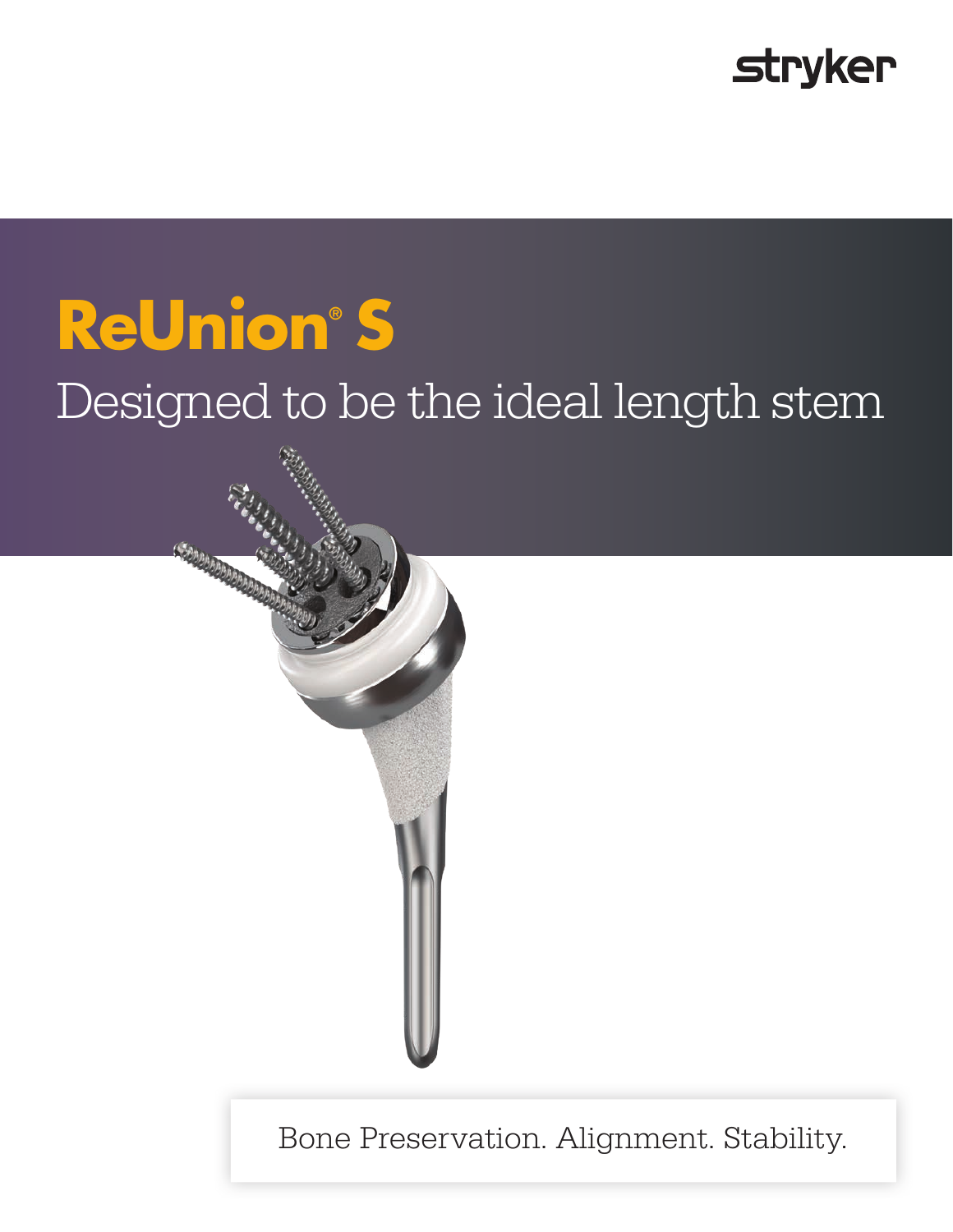### **stryker**

# **ReUnion® S** Designed to be the ideal length stem



Bone Preservation. Alignment. Stability.